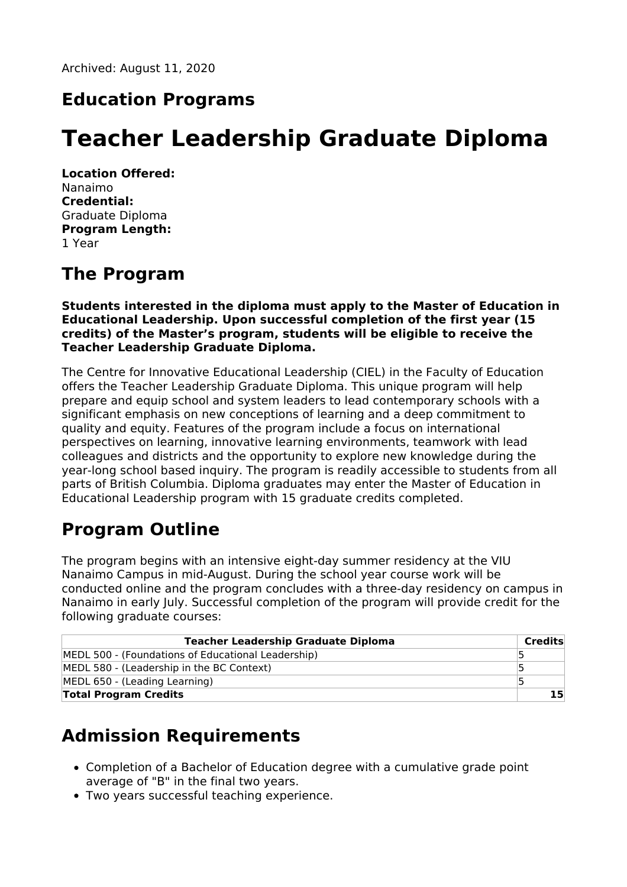#### **Education Programs**

# **Teacher Leadership Graduate Diploma**

**Location Offered:** Nanaimo **Credential:** Graduate Diploma **Program Length:** 1 Year

#### **The Program**

**Students interested in the diploma must apply to the Master of Education in Educational Leadership. Upon successful completion of the first year (15 credits) of the Master's program, students will be eligible to receive the Teacher Leadership Graduate Diploma.**

The Centre for Innovative Educational Leadership (CIEL) in the Faculty of Education offers the Teacher Leadership Graduate Diploma. This unique program will help prepare and equip school and system leaders to lead contemporary schools with a significant emphasis on new conceptions of learning and a deep commitment to quality and equity. Features of the program include a focus on international perspectives on learning, innovative learning environments, teamwork with lead colleagues and districts and the opportunity to explore new knowledge during the year-long school based inquiry. The program is readily accessible to students from all parts of British Columbia. Diploma graduates may enter the Master of Education in Educational Leadership program with 15 graduate credits completed.

# **Program Outline**

The program begins with an intensive eight-day summer residency at the VIU Nanaimo Campus in mid-August. During the school year course work will be conducted online and the program concludes with a three-day residency on campus in Nanaimo in early July. Successful completion of the program will provide credit for the following graduate courses:

| <b>Teacher Leadership Graduate Diploma</b>         | Credits |
|----------------------------------------------------|---------|
| MEDL 500 - (Foundations of Educational Leadership) |         |
| MEDL 580 - (Leadership in the BC Context)          |         |
| MEDL 650 - (Leading Learning)                      |         |
| <b>Total Program Credits</b>                       |         |

# **Admission Requirements**

- Completion of a Bachelor of Education degree with a cumulative grade point average of "B" in the final two years.
- Two years successful teaching experience.